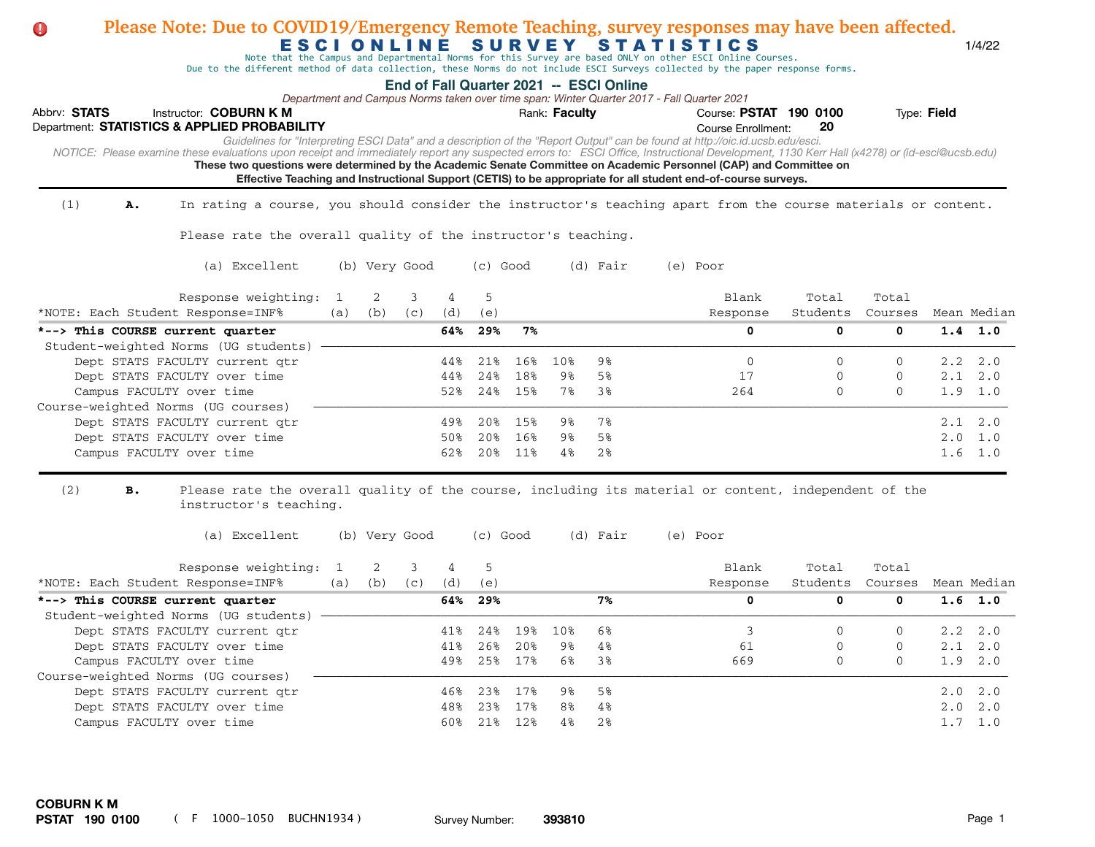| Please Note: Due to COVID19/Emergency Remote Teaching, survey responses may have been affected.<br>U                                                                                                                                                                                 |                |               |     |            |            |            |               |                                         | ESCIONLINE SURVEY STATISTICS<br>Note that the Campus and Departmental Norms for this Survey are based ONLY on other ESCI Online Courses.<br>Due to the different method of data collection, these Norms do not include ESCI Surveys collected by the paper response forms.                                                                                                                                                                                                                                              |               |                      |             | 1/4/22          |
|--------------------------------------------------------------------------------------------------------------------------------------------------------------------------------------------------------------------------------------------------------------------------------------|----------------|---------------|-----|------------|------------|------------|---------------|-----------------------------------------|-------------------------------------------------------------------------------------------------------------------------------------------------------------------------------------------------------------------------------------------------------------------------------------------------------------------------------------------------------------------------------------------------------------------------------------------------------------------------------------------------------------------------|---------------|----------------------|-------------|-----------------|
| Abbrv: STATS<br>Instructor: COBURN K M<br>Department: STATISTICS & APPLIED PROBABILITY<br>NOTICE: Please examine these evaluations upon receipt and immediately report any suspected errors to: ESCI Office, Instructional Development, 1130 Kerr Hall (x4278) or (id-esci@ucsb.edu) |                |               |     |            |            |            | Rank: Faculty | End of Fall Quarter 2021 -- ESCI Online | Department and Campus Norms taken over time span: Winter Quarter 2017 - Fall Quarter 2021<br>Course: PSTAT 190 0100<br><b>Course Enrollment:</b><br>Guidelines for "Interpreting ESCI Data" and a description of the "Report Output" can be found at http://oic.id.ucsb.edu/esci.<br>These two questions were determined by the Academic Senate Committee on Academic Personnel (CAP) and Committee on<br>Effective Teaching and Instructional Support (CETIS) to be appropriate for all student end-of-course surveys. | 20            |                      | Type: Field |                 |
| (1)<br>In rating a course, you should consider the instructor's teaching apart from the course materials or content.<br>Α.                                                                                                                                                           |                |               |     |            |            |            |               |                                         |                                                                                                                                                                                                                                                                                                                                                                                                                                                                                                                         |               |                      |             |                 |
| Please rate the overall quality of the instructor's teaching.                                                                                                                                                                                                                        |                |               |     |            |            |            |               |                                         |                                                                                                                                                                                                                                                                                                                                                                                                                                                                                                                         |               |                      |             |                 |
| (a) Excellent                                                                                                                                                                                                                                                                        |                | (b) Very Good |     |            | $(c)$ Good |            |               | (d) Fair                                | (e) Poor                                                                                                                                                                                                                                                                                                                                                                                                                                                                                                                |               |                      |             |                 |
| Response weighting:                                                                                                                                                                                                                                                                  | $\overline{1}$ | 2             | 3   | 4          | 5          |            |               |                                         | Blank                                                                                                                                                                                                                                                                                                                                                                                                                                                                                                                   | Total         | Total                |             |                 |
| *NOTE: Each Student Response=INF%                                                                                                                                                                                                                                                    | (a)            | (b)           | (C) | (d)        | (e)        |            |               |                                         | Response                                                                                                                                                                                                                                                                                                                                                                                                                                                                                                                | Students      | Courses              |             | Mean Median     |
| *--> This COURSE current quarter                                                                                                                                                                                                                                                     |                |               |     | 64%        | 29%        | 7%         |               |                                         | 0                                                                                                                                                                                                                                                                                                                                                                                                                                                                                                                       | 0             | 0                    |             | $1.4$ 1.0       |
| Student-weighted Norms (UG students)                                                                                                                                                                                                                                                 |                |               |     |            |            |            |               |                                         |                                                                                                                                                                                                                                                                                                                                                                                                                                                                                                                         |               |                      |             |                 |
| Dept STATS FACULTY current qtr<br>Dept STATS FACULTY over time                                                                                                                                                                                                                       |                |               |     | 44%<br>44% | 21%<br>24% | 16%<br>18% | 10%<br>9%     | 9%<br>5%                                | $\mathbf{0}$<br>17                                                                                                                                                                                                                                                                                                                                                                                                                                                                                                      | $\Omega$<br>0 | $\Omega$<br>$\Omega$ | 2.2<br>2.1  | 2.0<br>2.0      |
| Campus FACULTY over time                                                                                                                                                                                                                                                             |                |               |     | 52%        | 24%        | 15%        | 7%            | 3%                                      | 264                                                                                                                                                                                                                                                                                                                                                                                                                                                                                                                     | $\Omega$      | $\Omega$             |             | 1.9 1.0         |
| Course-weighted Norms (UG courses)                                                                                                                                                                                                                                                   |                |               |     |            |            |            |               |                                         |                                                                                                                                                                                                                                                                                                                                                                                                                                                                                                                         |               |                      |             |                 |
| Dept STATS FACULTY current qtr                                                                                                                                                                                                                                                       |                |               |     | 49%        | 20%        | 15%        | 9%            | 7%                                      |                                                                                                                                                                                                                                                                                                                                                                                                                                                                                                                         |               |                      |             | $2.1 \quad 2.0$ |
| Dept STATS FACULTY over time                                                                                                                                                                                                                                                         |                |               |     | 50%        | 20%        | 16%        | 9%            | 5%                                      |                                                                                                                                                                                                                                                                                                                                                                                                                                                                                                                         |               |                      |             | $2.0 \quad 1.0$ |
| Campus FACULTY over time                                                                                                                                                                                                                                                             |                |               |     | 62%        | 20%        | 11%        | 4%            | 2%                                      |                                                                                                                                                                                                                                                                                                                                                                                                                                                                                                                         |               |                      |             | $1.6 \quad 1.0$ |
| (2)<br>в.<br>Please rate the overall quality of the course, including its material or content, independent of the<br>instructor's teaching.                                                                                                                                          |                |               |     |            |            |            |               |                                         |                                                                                                                                                                                                                                                                                                                                                                                                                                                                                                                         |               |                      |             |                 |
| (a) Excellent                                                                                                                                                                                                                                                                        |                | (b) Very Good |     |            | (c) Good   |            |               | (d) Fair                                | (e) Poor                                                                                                                                                                                                                                                                                                                                                                                                                                                                                                                |               |                      |             |                 |
| Response weighting:                                                                                                                                                                                                                                                                  | $\mathbf{1}$   | 2             | 3   | 4          | 5          |            |               |                                         | Blank                                                                                                                                                                                                                                                                                                                                                                                                                                                                                                                   | Total         | Total                |             |                 |
| *NOTE: Each Student Response=INF%                                                                                                                                                                                                                                                    | (a)            | (b)           | (C) | (d)        | (e)        |            |               |                                         | Response                                                                                                                                                                                                                                                                                                                                                                                                                                                                                                                | Students      | Courses              |             | Mean Median     |
| *--> This COURSE current quarter                                                                                                                                                                                                                                                     |                |               |     | 64%        | 29%        |            |               | 7%                                      | 0                                                                                                                                                                                                                                                                                                                                                                                                                                                                                                                       | 0             | 0                    |             | $1.6$ 1.0       |
| Student-weighted Norms (UG students)<br>Dept STATS FACULTY current qtr                                                                                                                                                                                                               |                |               |     | 41%        | 24%        | 19%        | 10%           | 6%                                      | 3                                                                                                                                                                                                                                                                                                                                                                                                                                                                                                                       | $\Omega$      | $\Omega$             | 2.2         | 2.0             |
| Dept STATS FACULTY over time                                                                                                                                                                                                                                                         |                |               |     | 41%        | 26%        | 20%        | 9%            | 4%                                      | 61                                                                                                                                                                                                                                                                                                                                                                                                                                                                                                                      | $\Omega$      | $\Omega$             |             | 2.1 2.0         |
| Campus FACULTY over time                                                                                                                                                                                                                                                             |                |               |     | 49%        | 25%        | 17%        | 6%            | 3%                                      | 669                                                                                                                                                                                                                                                                                                                                                                                                                                                                                                                     | $\Omega$      | $\Omega$             |             | 1.9 2.0         |
| Course-weighted Norms (UG courses)                                                                                                                                                                                                                                                   |                |               |     |            |            |            |               |                                         |                                                                                                                                                                                                                                                                                                                                                                                                                                                                                                                         |               |                      |             |                 |
| Dept STATS FACULTY current qtr                                                                                                                                                                                                                                                       |                |               |     | 46%        | 23%        | 17%        | 98            | 5%                                      |                                                                                                                                                                                                                                                                                                                                                                                                                                                                                                                         |               |                      | 2.0         | 2.0             |
| Dept STATS FACULTY over time                                                                                                                                                                                                                                                         |                |               |     | 48%        | 23%        | 17%        | 8%            | 4%                                      |                                                                                                                                                                                                                                                                                                                                                                                                                                                                                                                         |               |                      | 2.0         | 2.0             |
| Campus FACULTY over time                                                                                                                                                                                                                                                             |                |               |     | 60%        | 21%        | 12%        | 4%            | 2%                                      |                                                                                                                                                                                                                                                                                                                                                                                                                                                                                                                         |               |                      |             | $1.7 \quad 1.0$ |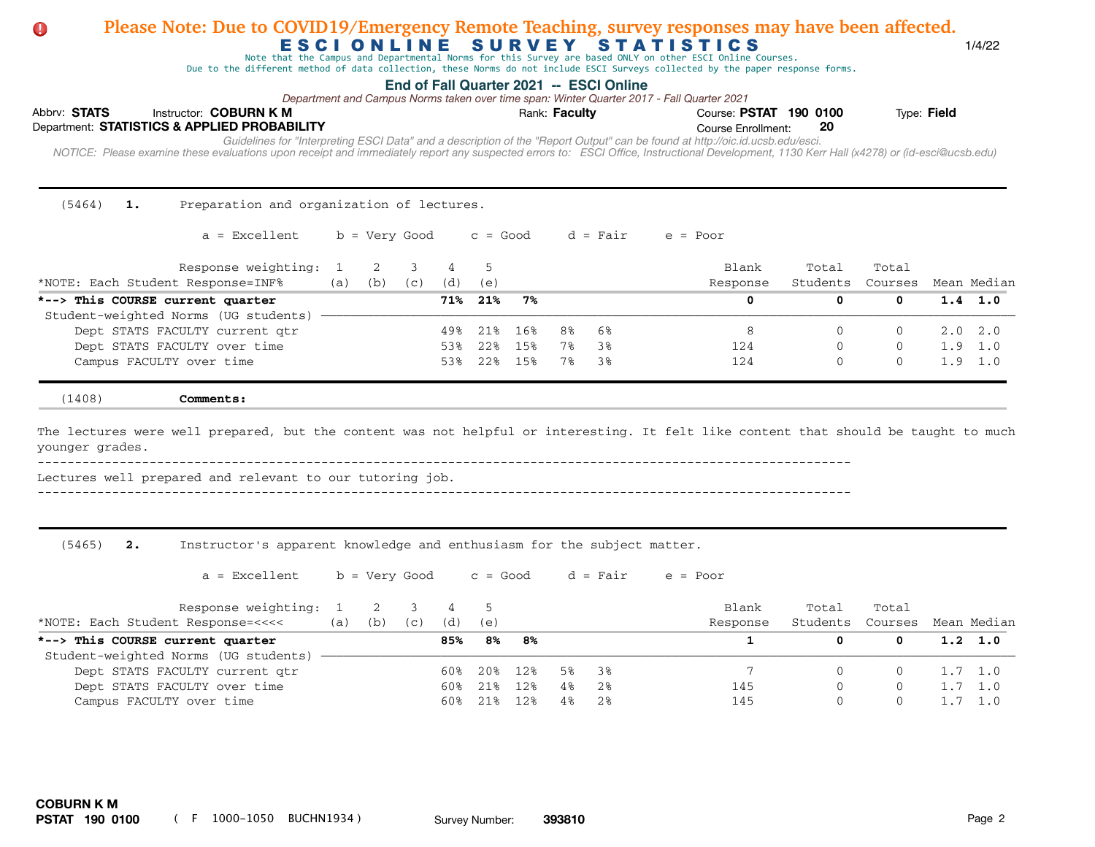## Abbrv: STATS Instructor: COBURN K M **COURT A COURSE: PSTAT 190 0100** Type: Field Course Enrollment:  *NOTICE: Please examine these evaluations upon receipt and immediately report any suspected errors to: ESCI Office, Instructional Development, 1130 Kerr Hall (x4278) or (id-esci@ucsb.edu)*  Department: **STATISTICS & APPLIED PROBABILITY 20** E S C I O N L I N E S U R V E Y S T A T I S T I C S 1/4/22 **End of Fall Quarter 2021 -- ESCI Online** *Guidelines for "Interpreting ESCI Data" and a description of the "Report Output" can be found at http://oic.id.ucsb.edu/esci. Department and Campus Norms taken over time span: Winter Quarter 2017 - Fall Quarter 2021* Note that the Campus and Departmental Norms for this Survey are based ONLY on other ESCI Online Courses. Due to the different method of data collection, these Norms do not include ESCI Surveys collected by the paper response forms. **Please Note: Due to COVID19/Emergency Remote Teaching, survey responses may have been affected.** (5464) **1.** Preparation and organization of lectures.  $a =$  Excellent b = Very Good c = Good d = Fair e = Poor Response weighting: 1 2 3 4 5 Blank Total Total Total \*NOTE: Each Student Response=INF% (a) (b) (c) (d) (e) Response Students Courses Mean Median **\*--> This COURSE current quarter 71% 21% 7% 0 0 0 1.4 1.0**  Student-weighted Norms (UG students) -Dept STATS FACULTY current qtr  $49\%$  21% 16% 8% 6% 8 0 8 0 0 2.0 2.0 2.0 Dept STATS FACULTY over time  $53\frac{124}{15\frac{124}{15\frac{124}{15\frac{124}{15\frac{124}{15\frac{124}{15\frac{124}{15\frac{124}{15\frac{124}{15\frac{124}{15\frac{124}{15\frac{124}{15\frac{124}{15\frac{124}{15\frac{124}{15\frac{124}{15\frac{124}{15\frac{124}{15\frac{124}{15\frac{124}{15\frac{124}{15\$ Campus FACULTY over time **1.9 1.0** 1.9 1.0 **The Academic Senate on Academic Senate 124** 0 0 1.9 1.0 (1408) **Comments:** The lectures were well prepared, but the content was not helpful or interesting. It felt like content that should be taught to much younger grades.  $-$ Lectures well prepared and relevant to our tutoring job. ------------------------------------------------------------------------------------------------------------- (5465) **2.** Instructor's apparent knowledge and enthusiasm for the subject matter.  $a =$  Excellent b = Very Good c = Good d = Fair e = Poor Response weighting: 1 2 3 4 5 Blank Total Total Total \*NOTE: Each Student Response=<<<< (a) (b) (c) (d) (e) Response Students Courses Mean Median **\*--> This COURSE current quarter 85% 8% 8% 1 0 0 1.2 1.0**  Student-weighted Norms (UG students) -Dept STATS FACULTY current qtr  $60\%$  20% 12% 5% 3% 7 0 0 1.7 1.0 Dept STATS FACULTY over time 60% 21% 12% 4% 2% 145 0 0 1.7 1.0 Campus FACULTY over time 60% 21% 12% 4% 2% 145 0 0 1.7 1.0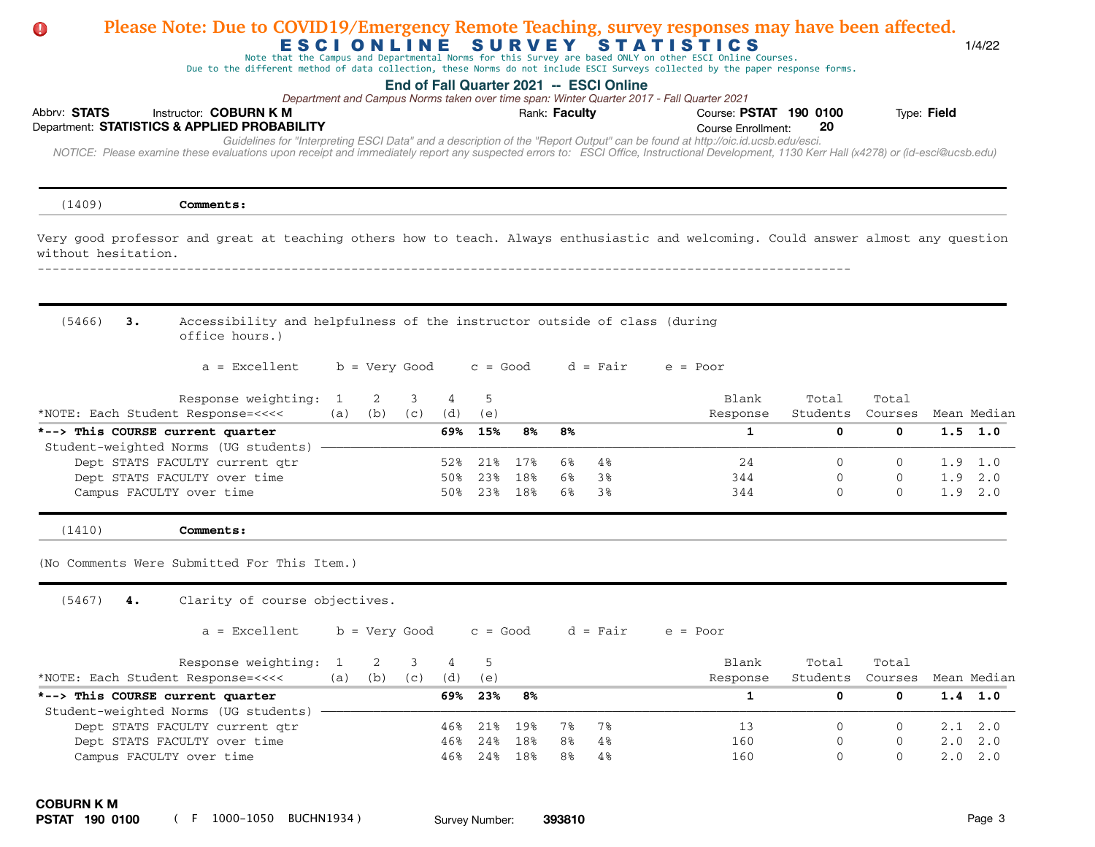| Please Note: Due to COVID19/Emergency Remote Teaching, survey responses may have been affected.<br>$\mathbf 0$                                                                             | <b>ESCIONLINE</b> |     |                 |            |            | SURVEY     |               |                                         | <b>STATISTICS</b><br>Note that the Campus and Departmental Norms for this Survey are based ONLY on other ESCI Online Courses.  |               |                          |             | 1/4/22                         |
|--------------------------------------------------------------------------------------------------------------------------------------------------------------------------------------------|-------------------|-----|-----------------|------------|------------|------------|---------------|-----------------------------------------|--------------------------------------------------------------------------------------------------------------------------------|---------------|--------------------------|-------------|--------------------------------|
|                                                                                                                                                                                            |                   |     |                 |            |            |            |               | End of Fall Quarter 2021 -- ESCI Online | Due to the different method of data collection, these Norms do not include ESCI Surveys collected by the paper response forms. |               |                          |             |                                |
|                                                                                                                                                                                            |                   |     |                 |            |            |            |               |                                         | Department and Campus Norms taken over time span: Winter Quarter 2017 - Fall Quarter 2021                                      |               |                          |             |                                |
| Abbrv: STATS<br>Instructor: <b>COBURN K M</b>                                                                                                                                              |                   |     |                 |            |            |            | Rank: Faculty |                                         | Course: PSTAT 190 0100                                                                                                         |               |                          | Type: Field |                                |
| Department: STATISTICS & APPLIED PROBABILITY                                                                                                                                               |                   |     |                 |            |            |            |               |                                         | <b>Course Enrollment:</b>                                                                                                      | 20            |                          |             |                                |
| NOTICE: Please examine these evaluations upon receipt and immediately report any suspected errors to: ESCI Office, Instructional Development, 1130 Kerr Hall (x4278) or (id-esci@ucsb.edu) |                   |     |                 |            |            |            |               |                                         | Guidelines for "Interpreting ESCI Data" and a description of the "Report Output" can be found at http://oic.id.ucsb.edu/esci.  |               |                          |             |                                |
|                                                                                                                                                                                            |                   |     |                 |            |            |            |               |                                         |                                                                                                                                |               |                          |             |                                |
| (1409)<br>Comments:                                                                                                                                                                        |                   |     |                 |            |            |            |               |                                         |                                                                                                                                |               |                          |             |                                |
| Very good professor and great at teaching others how to teach. Always enthusiastic and welcoming. Could answer almost any question<br>without hesitation.                                  |                   |     |                 |            |            |            |               |                                         |                                                                                                                                |               |                          |             |                                |
|                                                                                                                                                                                            |                   |     |                 |            |            |            |               |                                         |                                                                                                                                |               |                          |             |                                |
| (5466)<br>з.<br>Accessibility and helpfulness of the instructor outside of class (during<br>office hours.)                                                                                 |                   |     |                 |            |            |            |               |                                         |                                                                                                                                |               |                          |             |                                |
| $a = Excellent$                                                                                                                                                                            |                   |     | b = Very Good   |            | $c = Good$ |            |               | $d = Fair$                              | $e = Poor$                                                                                                                     |               |                          |             |                                |
| Response weighting:                                                                                                                                                                        | 1                 | 2   | 3               | 4          | 5          |            |               |                                         | Blank                                                                                                                          | Total         | Total                    |             |                                |
| *NOTE: Each Student Response=<<<<                                                                                                                                                          | (a)               | (b) | (C)             | (d)        | (e)        |            |               |                                         | Response                                                                                                                       | Students      | Courses                  |             | Mean Median                    |
| *--> This COURSE current quarter                                                                                                                                                           |                   |     |                 | 69%        | 15%        | 8%         | 8%            |                                         | 1                                                                                                                              | 0             | 0                        |             | $1.5 \t1.0$                    |
| Student-weighted Norms (UG students)                                                                                                                                                       |                   |     |                 |            |            |            |               |                                         |                                                                                                                                |               |                          |             |                                |
| Dept STATS FACULTY current qtr<br>Dept STATS FACULTY over time                                                                                                                             |                   |     |                 | 52%<br>50% | 21%<br>23% | 17%<br>18% | 6%<br>6%      | 4%<br>38                                | 24<br>344                                                                                                                      | 0<br>0        | $\Omega$<br>O            |             | 1.9 1.0<br>1.9 2.0             |
| Campus FACULTY over time                                                                                                                                                                   |                   |     |                 | 50%        | 23%        | 18%        | 6%            | 38                                      | 344                                                                                                                            | $\Omega$      | $\Omega$                 |             | $1.9$ $2.0$                    |
| (1410)<br>Comments:                                                                                                                                                                        |                   |     |                 |            |            |            |               |                                         |                                                                                                                                |               |                          |             |                                |
| (No Comments Were Submitted For This Item.)                                                                                                                                                |                   |     |                 |            |            |            |               |                                         |                                                                                                                                |               |                          |             |                                |
| (5467)<br>Clarity of course objectives.<br>4.                                                                                                                                              |                   |     |                 |            |            |            |               |                                         |                                                                                                                                |               |                          |             |                                |
| $a = Excellent$                                                                                                                                                                            |                   |     | $b = Very Good$ |            | $c = Good$ |            |               | d = Fair                                | $e = Poor$                                                                                                                     |               |                          |             |                                |
| Response weighting: 1                                                                                                                                                                      |                   | 2   | 3               | 4          | 5          |            |               |                                         | Blank                                                                                                                          | Total         | Total                    |             |                                |
| *NOTE: Each Student Response=<<<<                                                                                                                                                          | (a)               | (b) | (C)             | (d)        | (e)        |            |               |                                         | Response                                                                                                                       | Students      | Courses                  |             | Mean Median                    |
| *--> This COURSE current quarter                                                                                                                                                           |                   |     |                 |            | 69% 23%    | 8%         |               |                                         | $\mathbf{1}$                                                                                                                   | 0             | $\mathbf 0$              |             | $1.4$ 1.0                      |
| Student-weighted Norms (UG students) -                                                                                                                                                     |                   |     |                 |            |            |            |               |                                         |                                                                                                                                |               |                          |             |                                |
| Dept STATS FACULTY current qtr<br>Dept STATS FACULTY over time                                                                                                                             |                   |     |                 | 46%<br>46% | 21%<br>24% | 19%<br>18% | 7%<br>8%      | 7%<br>4%                                | 13<br>160                                                                                                                      | $\Omega$<br>0 | $\Omega$<br>$\mathbf{0}$ |             | $2.1 \quad 2.0$<br>$2.0$ $2.0$ |
| Campus FACULTY over time                                                                                                                                                                   |                   |     |                 |            | 46% 24%    | 18%        | 8%            | 4%                                      | 160                                                                                                                            | $\mathbf{0}$  | $\mathbf{0}$             |             | 2.0 2.0                        |
| <b>COBURN K M</b>                                                                                                                                                                          |                   |     |                 |            |            |            |               |                                         |                                                                                                                                |               |                          |             |                                |